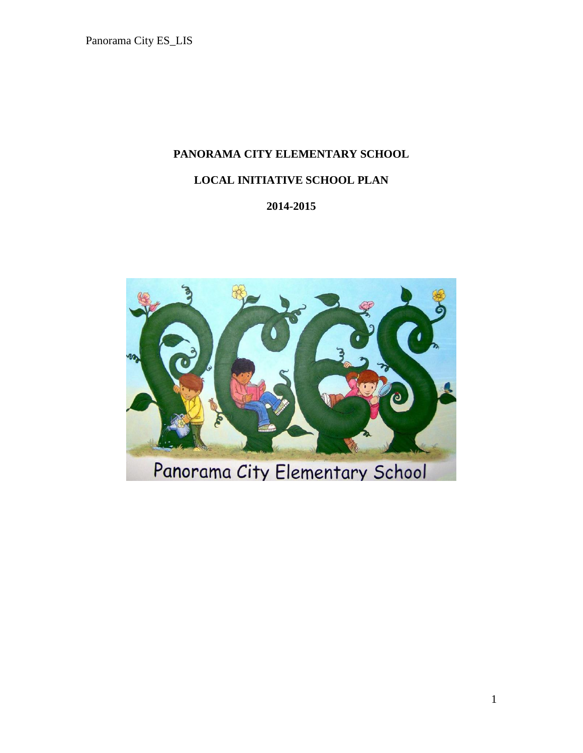# **PANORAMA CITY ELEMENTARY SCHOOL**

# **LOCAL INITIATIVE SCHOOL PLAN**

# **2014-2015**

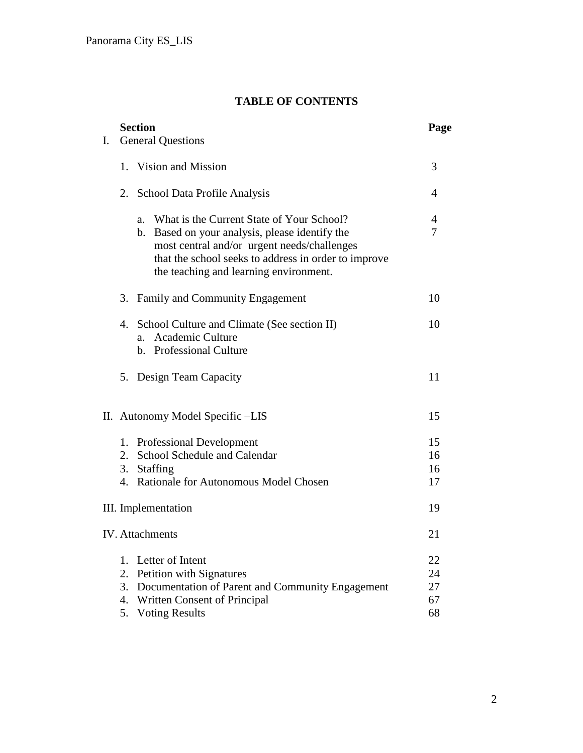# **T TABLE OF CONTENTS**

| Ι. |    | <b>Section</b><br><b>General Questions</b>                                                                                                                                                                                                      | Page   |
|----|----|-------------------------------------------------------------------------------------------------------------------------------------------------------------------------------------------------------------------------------------------------|--------|
|    |    |                                                                                                                                                                                                                                                 |        |
|    |    | 1. Vision and Mission                                                                                                                                                                                                                           | 3      |
|    |    | 2. School Data Profile Analysis                                                                                                                                                                                                                 | 4      |
|    |    | a. What is the Current State of Your School?<br>b. Based on your analysis, please identify the<br>most central and/or urgent needs/challenges<br>that the school seeks to address in order to improve<br>the teaching and learning environment. | 4<br>7 |
|    |    | 3. Family and Community Engagement                                                                                                                                                                                                              | 10     |
|    |    | 4. School Culture and Climate (See section II)<br><b>Academic Culture</b><br>a.<br>b. Professional Culture                                                                                                                                      | 10     |
|    |    | 5. Design Team Capacity                                                                                                                                                                                                                         | 11     |
|    |    | II. Autonomy Model Specific -LIS                                                                                                                                                                                                                | 15     |
|    | 1. | <b>Professional Development</b>                                                                                                                                                                                                                 | 15     |
|    |    | 2. School Schedule and Calendar                                                                                                                                                                                                                 | 16     |
|    |    | 3. Staffing                                                                                                                                                                                                                                     | 16     |
|    |    | 4. Rationale for Autonomous Model Chosen                                                                                                                                                                                                        | 17     |
|    |    | III. Implementation                                                                                                                                                                                                                             | 19     |
|    |    | <b>IV.</b> Attachments                                                                                                                                                                                                                          | 21     |
|    | 1. | Letter of Intent                                                                                                                                                                                                                                | 22     |
|    | 2. | Petition with Signatures                                                                                                                                                                                                                        | 24     |
|    | 3. | Documentation of Parent and Community Engagement                                                                                                                                                                                                | 27     |
|    | 4. | Written Consent of Principal                                                                                                                                                                                                                    | 67     |
|    |    | 5. Voting Results                                                                                                                                                                                                                               | 68     |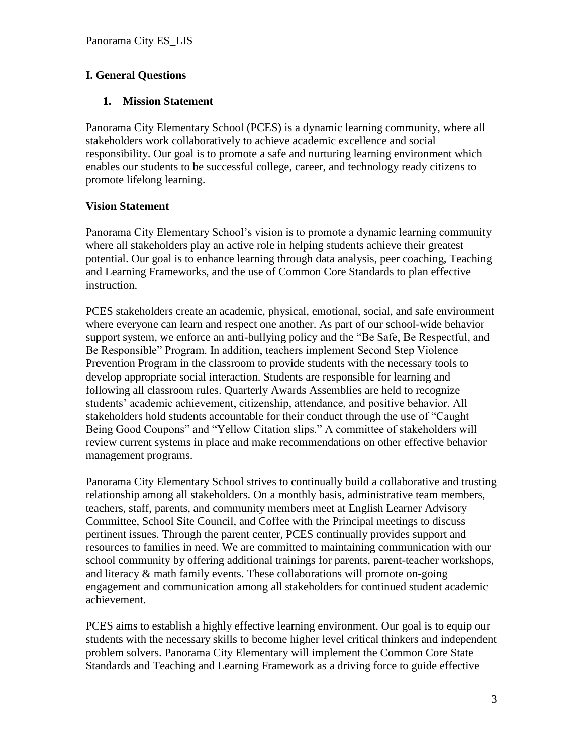#### **I. General Questions**

#### **1. Mission Statement**

Panorama City Elementary School (PCES) is a dynamic learning community, where all stakeholders work collaboratively to achieve academic excellence and social responsibility. Our goal is to promote a safe and nurturing learning environment which enables our students to be successful college, career, and technology ready citizens to promote lifelong learning.

# **Vision Statement**

Panorama City Elementary School's vision is to promote a dynamic learning community where all stakeholders play an active role in helping students achieve their greatest potential. Our goal is to enhance learning through data analysis, peer coaching, Teaching and Learning Frameworks, and the use of Common Core Standards to plan effective instruction.

PCES stakeholders create an academic, physical, emotional, social, and safe environment where everyone can learn and respect one another. As part of our school-wide behavior support system, we enforce an anti-bullying policy and the "Be Safe, Be Respectful, and Be Responsible" Program. In addition, teachers implement Second Step Violence Prevention Program in the classroom to provide students with the necessary tools to develop appropriate social interaction. Students are responsible for learning and following all classroom rules. Quarterly Awards Assemblies are held to recognize students' academic achievement, citizenship, attendance, and positive behavior. All stakeholders hold students accountable for their conduct through the use of "Caught Being Good Coupons" and "Yellow Citation slips." A committee of stakeholders will review current systems in place and make recommendations on other effective behavior management programs.

Panorama City Elementary School strives to continually build a collaborative and trusting relationship among all stakeholders. On a monthly basis, administrative team members, teachers, staff, parents, and community members meet at English Learner Advisory Committee, School Site Council, and Coffee with the Principal meetings to discuss pertinent issues. Through the parent center, PCES continually provides support and resources to families in need. We are committed to maintaining communication with our school community by offering additional trainings for parents, parent-teacher workshops, and literacy & math family events. These collaborations will promote on-going engagement and communication among all stakeholders for continued student academic achievement.

PCES aims to establish a highly effective learning environment. Our goal is to equip our students with the necessary skills to become higher level critical thinkers and independent problem solvers. Panorama City Elementary will implement the Common Core State Standards and Teaching and Learning Framework as a driving force to guide effective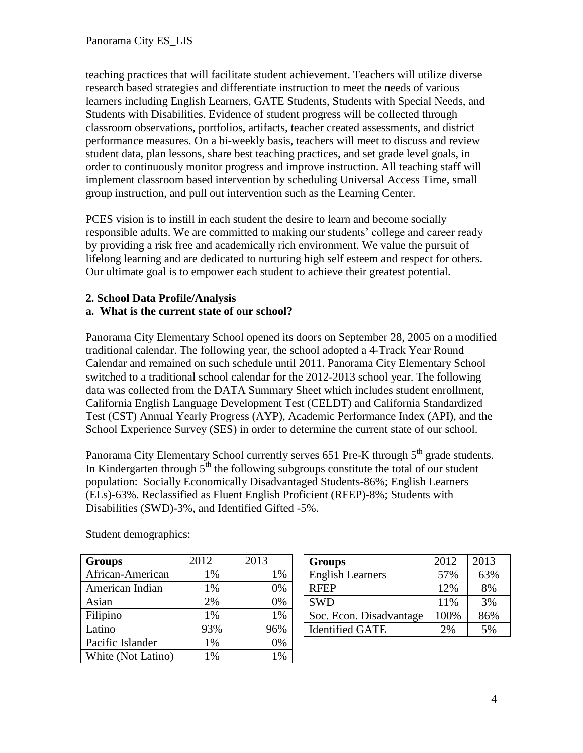teaching practices that will facilitate student achievement. Teachers will utilize diverse research based strategies and differentiate instruction to meet the needs of various learners including English Learners, GATE Students, Students with Special Needs, and Students with Disabilities. Evidence of student progress will be collected through classroom observations, portfolios, artifacts, teacher created assessments, and district performance measures. On a bi-weekly basis, teachers will meet to discuss and review student data, plan lessons, share best teaching practices, and set grade level goals, in order to continuously monitor progress and improve instruction. All teaching staff will implement classroom based intervention by scheduling Universal Access Time, small group instruction, and pull out intervention such as the Learning Center.

PCES vision is to instill in each student the desire to learn and become socially responsible adults. We are committed to making our students' college and career ready by providing a risk free and academically rich environment. We value the pursuit of lifelong learning and are dedicated to nurturing high self esteem and respect for others. Our ultimate goal is to empower each student to achieve their greatest potential.

# **2. School Data Profile/Analysis**

#### **a. What is the current state of our school?**

Panorama City Elementary School opened its doors on September 28, 2005 on a modified traditional calendar. The following year, the school adopted a 4-Track Year Round Calendar and remained on such schedule until 2011. Panorama City Elementary School switched to a traditional school calendar for the 2012-2013 school year. The following data was collected from the DATA Summary Sheet which includes student enrollment, California English Language Development Test (CELDT) and California Standardized Test (CST) Annual Yearly Progress (AYP), Academic Performance Index (API), and the School Experience Survey (SES) in order to determine the current state of our school.

Panorama City Elementary School currently serves  $651$  Pre-K through  $5<sup>th</sup>$  grade students. In Kindergarten through  $5<sup>th</sup>$  the following subgroups constitute the total of our student population: Socially Economically Disadvantaged Students-86%; English Learners (ELs)-63%. Reclassified as Fluent English Proficient (RFEP)-8%; Students with Disabilities (SWD)-3%, and Identified Gifted -5%.

| <b>Groups</b>      | 2012 | 2013 |
|--------------------|------|------|
| African-American   | 1%   | 1%   |
| American Indian    | 1%   | 0%   |
| Asian              | 2%   | 0%   |
| Filipino           | 1%   | 1%   |
| Latino             | 93%  | 96%  |
| Pacific Islander   | 1%   | 0%   |
| White (Not Latino) | 1%   | 1%   |

Student demographics:

| <b>Groups</b>           | 2012 | 2013 |
|-------------------------|------|------|
| <b>English Learners</b> | 57%  | 63%  |
| <b>RFEP</b>             | 12%  | 8%   |
| <b>SWD</b>              | 11%  | 3%   |
| Soc. Econ. Disadvantage | 100% | 86%  |
| <b>Identified GATE</b>  | 2%   | 5%   |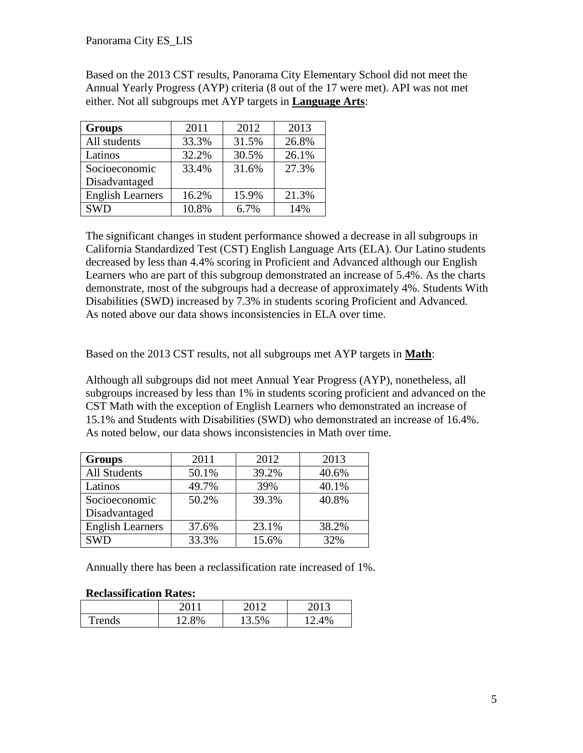Based on the 2013 CST results, Panorama City Elementary School did not meet the Annual Yearly Progress (AYP) criteria (8 out of the 17 were met). API was not met either. Not all subgroups met AYP targets in **Language Arts**:

| <b>Groups</b>           | 2011  | 2012  | 2013  |
|-------------------------|-------|-------|-------|
| All students            | 33.3% | 31.5% | 26.8% |
| Latinos                 | 32.2% | 30.5% | 26.1% |
| Socioeconomic           | 33.4% | 31.6% | 27.3% |
| Disadvantaged           |       |       |       |
| <b>English Learners</b> | 16.2% | 15.9% | 21.3% |
| <b>SWD</b>              | 10.8% | 6.7%  | 14%   |

The significant changes in student performance showed a decrease in all subgroups in California Standardized Test (CST) English Language Arts (ELA). Our Latino students decreased by less than 4.4% scoring in Proficient and Advanced although our English Learners who are part of this subgroup demonstrated an increase of 5.4%. As the charts demonstrate, most of the subgroups had a decrease of approximately 4%. Students With Disabilities (SWD) increased by 7.3% in students scoring Proficient and Advanced. As noted above our data shows inconsistencies in ELA over time.

Based on the 2013 CST results, not all subgroups met AYP targets in **Math**:

Although all subgroups did not meet Annual Year Progress (AYP), nonetheless, all subgroups increased by less than 1% in students scoring proficient and advanced on the CST Math with the exception of English Learners who demonstrated an increase of 15.1% and Students with Disabilities (SWD) who demonstrated an increase of 16.4%. As noted below, our data shows inconsistencies in Math over time.

| <b>Groups</b>           | 2011  | 2012  | 2013  |
|-------------------------|-------|-------|-------|
| <b>All Students</b>     | 50.1% | 39.2% | 40.6% |
| Latinos                 | 49.7% | 39%   | 40.1% |
| Socioeconomic           | 50.2% | 39.3% | 40.8% |
| Disadvantaged           |       |       |       |
| <b>English Learners</b> | 37.6% | 23.1% | 38.2% |
| <b>SWD</b>              | 33.3% | 15.6% | 32%   |

Annually there has been a reclassification rate increased of 1%.

#### **Reclassification Rates:**

|        | 2011  | 2012  | ንስ12     |
|--------|-------|-------|----------|
| Trends | 12.8% | 13.5% | 4%<br>12 |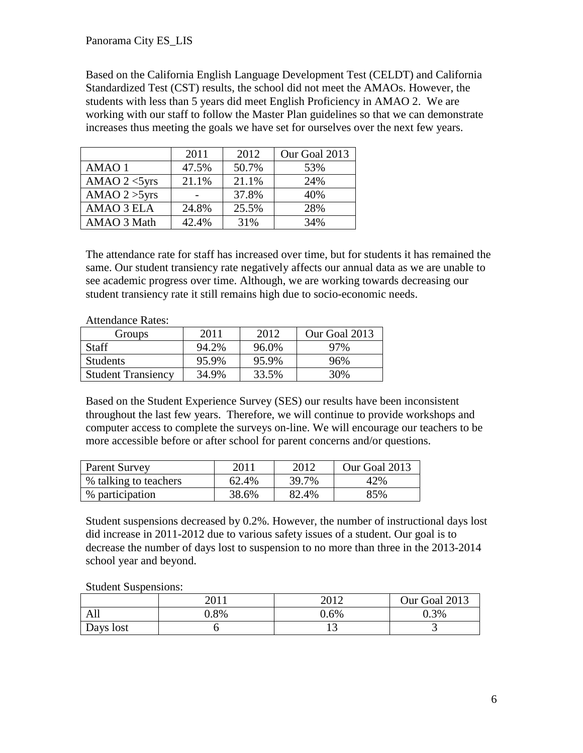Based on the California English Language Development Test (CELDT) and California Standardized Test (CST) results, the school did not meet the AMAOs. However, the students with less than 5 years did meet English Proficiency in AMAO 2. We are working with our staff to follow the Master Plan guidelines so that we can demonstrate increases thus meeting the goals we have set for ourselves over the next few years.

|                  | 2011  | 2012  | Our Goal 2013 |
|------------------|-------|-------|---------------|
| AMAO 1           | 47.5% | 50.7% | 53%           |
| AMAO $2 <$ 5yrs  | 21.1% | 21.1% | 24%           |
| AMAO $2 > 5$ yrs |       | 37.8% | 40%           |
| AMAO 3 ELA       | 24.8% | 25.5% | 28%           |
| AMAO 3 Math      | 42.4% | 31%   | 34%           |

The attendance rate for staff has increased over time, but for students it has remained the same. Our student transiency rate negatively affects our annual data as we are unable to see academic progress over time. Although, we are working towards decreasing our student transiency rate it still remains high due to socio-economic needs.

| <b>Attendance Rates:</b> |
|--------------------------|
|--------------------------|

| Groups                    | 2011  | 2012  | Our Goal 2013 |
|---------------------------|-------|-------|---------------|
| Staff                     | 94.2% | 96.0% | 97%           |
| <b>Students</b>           | 95.9% | 95.9% | 96%           |
| <b>Student Transiency</b> | 34.9% | 33.5% | 30%           |

Based on the Student Experience Survey (SES) our results have been inconsistent throughout the last few years. Therefore, we will continue to provide workshops and computer access to complete the surveys on-line. We will encourage our teachers to be more accessible before or after school for parent concerns and/or questions.

| <b>Parent Survey</b>  | 201 <sup>1</sup> | 2012  | Our Goal 2013 |
|-----------------------|------------------|-------|---------------|
| % talking to teachers | 62.4%            | 39.7% | 42%           |
| % participation       | 38.6%            | 82.4% | 85%           |

Student suspensions decreased by 0.2%. However, the number of instructional days lost did increase in 2011-2012 due to various safety issues of a student. Our goal is to decrease the number of days lost to suspension to no more than three in the 2013-2014 school year and beyond.

Student Suspensions:

|           | ገበ 11   | າ∩1າ    | Our Goal 2013 |
|-----------|---------|---------|---------------|
| All       | $0.8\%$ | $0.6\%$ | 0.3%          |
| Days lost |         | ⊥ື      | ັ             |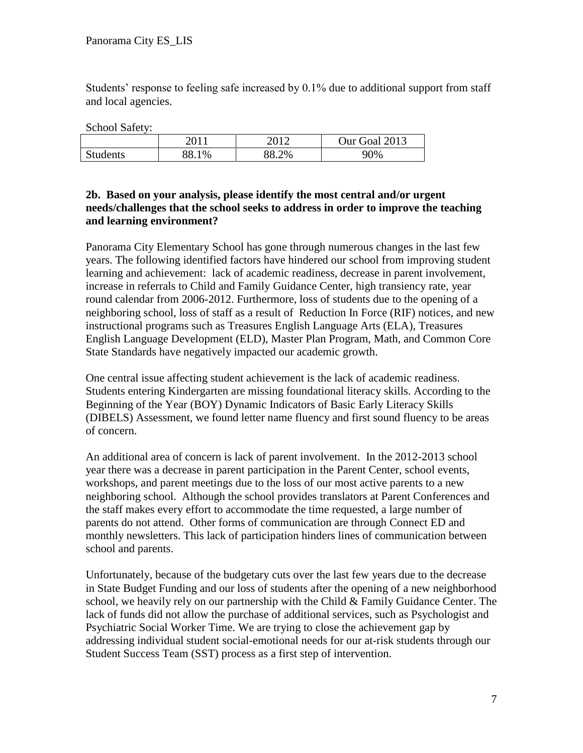Students' response to feeling safe increased by 0.1% due to additional support from staff and local agencies.

School Safety:

|                 | າດ1        | 2012. | Our Goal 2013 |
|-----------------|------------|-------|---------------|
| <b>Students</b> | 88.1<br>1% | 88.2% | 90%           |

#### **2b. Based on your analysis, please identify the most central and/or urgent needs/challenges that the school seeks to address in order to improve the teaching and learning environment?**

Panorama City Elementary School has gone through numerous changes in the last few years. The following identified factors have hindered our school from improving student learning and achievement: lack of academic readiness, decrease in parent involvement, increase in referrals to Child and Family Guidance Center, high transiency rate, year round calendar from 2006-2012. Furthermore, loss of students due to the opening of a neighboring school, loss of staff as a result of Reduction In Force (RIF) notices, and new instructional programs such as Treasures English Language Arts (ELA), Treasures English Language Development (ELD), Master Plan Program, Math, and Common Core State Standards have negatively impacted our academic growth.

One central issue affecting student achievement is the lack of academic readiness. Students entering Kindergarten are missing foundational literacy skills. According to the Beginning of the Year (BOY) Dynamic Indicators of Basic Early Literacy Skills (DIBELS) Assessment, we found letter name fluency and first sound fluency to be areas of concern.

An additional area of concern is lack of parent involvement. In the 2012-2013 school year there was a decrease in parent participation in the Parent Center, school events, workshops, and parent meetings due to the loss of our most active parents to a new neighboring school. Although the school provides translators at Parent Conferences and the staff makes every effort to accommodate the time requested, a large number of parents do not attend. Other forms of communication are through Connect ED and monthly newsletters. This lack of participation hinders lines of communication between school and parents.

Unfortunately, because of the budgetary cuts over the last few years due to the decrease in State Budget Funding and our loss of students after the opening of a new neighborhood school, we heavily rely on our partnership with the Child & Family Guidance Center. The lack of funds did not allow the purchase of additional services, such as Psychologist and Psychiatric Social Worker Time. We are trying to close the achievement gap by addressing individual student social-emotional needs for our at-risk students through our Student Success Team (SST) process as a first step of intervention.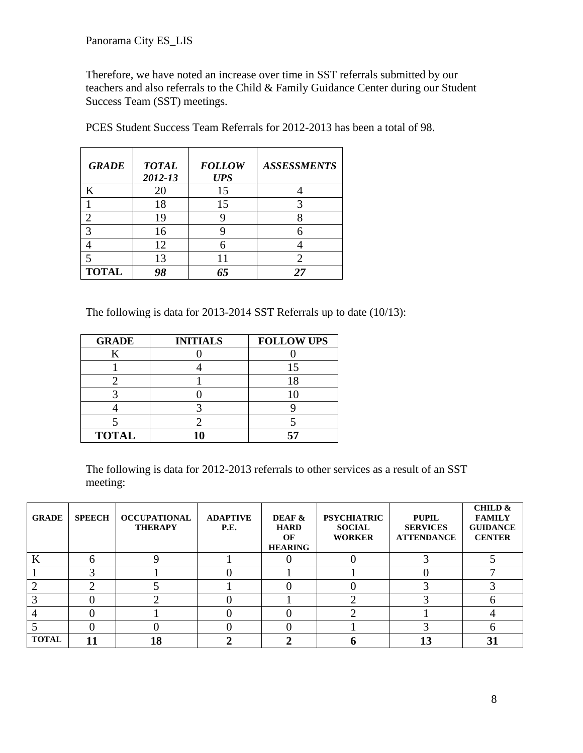Therefore, we have noted an increase over time in SST referrals submitted by our teachers and also referrals to the Child & Family Guidance Center during our Student Success Team (SST) meetings.

| <b>GRADE</b> | <b>TOTAL</b><br>2012-13 | <b>FOLLOW</b><br><b>UPS</b> | <b>ASSESSMENTS</b> |
|--------------|-------------------------|-----------------------------|--------------------|
| K            | 20                      | 15                          |                    |
|              | 18                      | 15                          |                    |
|              | 19                      |                             |                    |
| 3            | 16                      |                             |                    |
|              | 12                      |                             |                    |
|              | 13                      |                             | 2                  |
| <b>TOTAL</b> |                         | 65                          | 77                 |

PCES Student Success Team Referrals for 2012-2013 has been a total of 98.

The following is data for 2013-2014 SST Referrals up to date (10/13):

| <b>GRADE</b> | <b>INITIALS</b> | <b>FOLLOW UPS</b> |
|--------------|-----------------|-------------------|
|              |                 |                   |
|              |                 |                   |
|              |                 |                   |
|              |                 |                   |
|              |                 |                   |
|              |                 |                   |
| <b>TOTAL</b> |                 |                   |

The following is data for 2012-2013 referrals to other services as a result of an SST meeting:

| <b>GRADE</b> | <b>SPEECH</b> | <b>OCCUPATIONAL</b><br><b>THERAPY</b> | <b>ADAPTIVE</b><br><b>P.E.</b> | DEAF &<br><b>HARD</b><br>OF<br><b>HEARING</b> | <b>PSYCHIATRIC</b><br><b>SOCIAL</b><br><b>WORKER</b> | <b>PUPIL</b><br><b>SERVICES</b><br><b>ATTENDANCE</b> | <b>CHILD &amp;</b><br><b>FAMILY</b><br><b>GUIDANCE</b><br><b>CENTER</b> |
|--------------|---------------|---------------------------------------|--------------------------------|-----------------------------------------------|------------------------------------------------------|------------------------------------------------------|-------------------------------------------------------------------------|
| K            |               |                                       |                                |                                               |                                                      |                                                      |                                                                         |
|              |               |                                       |                                |                                               |                                                      |                                                      |                                                                         |
|              |               |                                       |                                |                                               |                                                      |                                                      |                                                                         |
|              |               |                                       |                                |                                               |                                                      |                                                      |                                                                         |
|              |               |                                       |                                |                                               |                                                      |                                                      |                                                                         |
|              |               |                                       |                                |                                               |                                                      |                                                      |                                                                         |
| <b>TOTAL</b> |               | 18                                    |                                |                                               |                                                      | 13                                                   | 31                                                                      |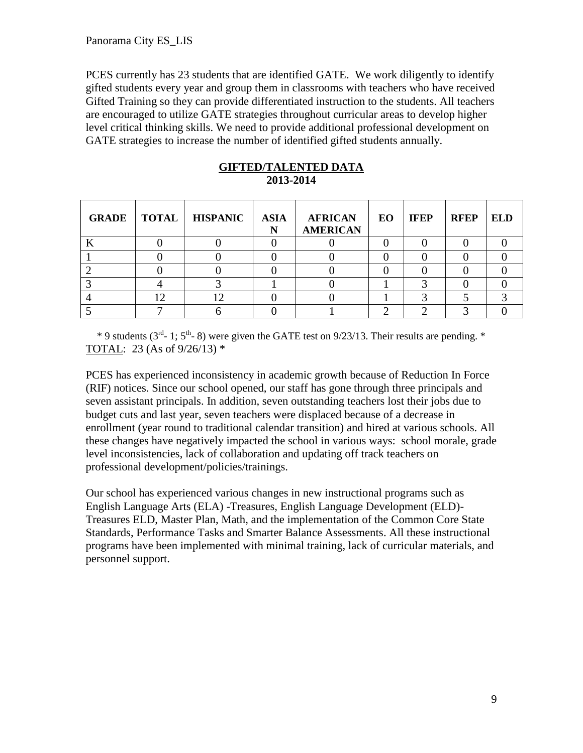PCES currently has 23 students that are identified GATE. We work diligently to identify gifted students every year and group them in classrooms with teachers who have received Gifted Training so they can provide differentiated instruction to the students. All teachers are encouraged to utilize GATE strategies throughout curricular areas to develop higher level critical thinking skills. We need to provide additional professional development on GATE strategies to increase the number of identified gifted students annually.

|     | <b>GRADE</b>   <b>TOTAL</b>   <b>HISPANIC</b> | <b>ASIA</b><br>N | <b>AFRICAN</b><br><b>AMERICAN</b> | EO | <b>IFEP</b> | <b>RFEP</b> | <b>ELD</b> |
|-----|-----------------------------------------------|------------------|-----------------------------------|----|-------------|-------------|------------|
|     |                                               |                  |                                   |    |             |             |            |
|     |                                               |                  |                                   |    |             |             |            |
|     |                                               |                  |                                   |    |             |             |            |
|     |                                               |                  |                                   |    |             |             |            |
| 1 ∩ | $\mathbf{1}$                                  |                  |                                   |    |             |             |            |
|     |                                               |                  |                                   |    |             |             |            |

#### **GIFTED/TALENTED DATA 2013-2014**

 $*$  9 students (3<sup>rd</sup>- 1; 5<sup>th</sup>-8) were given the GATE test on 9/23/13. Their results are pending.  $*$ TOTAL: 23 (As of 9/26/13) \*

PCES has experienced inconsistency in academic growth because of Reduction In Force (RIF) notices. Since our school opened, our staff has gone through three principals and seven assistant principals. In addition, seven outstanding teachers lost their jobs due to budget cuts and last year, seven teachers were displaced because of a decrease in enrollment (year round to traditional calendar transition) and hired at various schools. All these changes have negatively impacted the school in various ways: school morale, grade level inconsistencies, lack of collaboration and updating off track teachers on professional development/policies/trainings.

Our school has experienced various changes in new instructional programs such as English Language Arts (ELA) -Treasures, English Language Development (ELD)- Treasures ELD, Master Plan, Math, and the implementation of the Common Core State Standards, Performance Tasks and Smarter Balance Assessments. All these instructional programs have been implemented with minimal training, lack of curricular materials, and personnel support.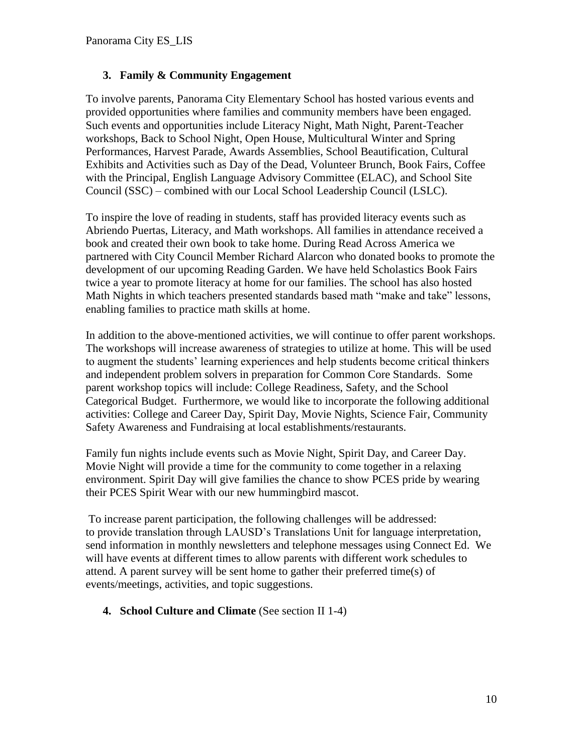#### **3. Family & Community Engagement**

To involve parents, Panorama City Elementary School has hosted various events and provided opportunities where families and community members have been engaged. Such events and opportunities include Literacy Night, Math Night, Parent-Teacher workshops, Back to School Night, Open House, Multicultural Winter and Spring Performances, Harvest Parade, Awards Assemblies, School Beautification, Cultural Exhibits and Activities such as Day of the Dead, Volunteer Brunch, Book Fairs, Coffee with the Principal, English Language Advisory Committee (ELAC), and School Site Council (SSC) – combined with our Local School Leadership Council (LSLC).

To inspire the love of reading in students, staff has provided literacy events such as Abriendo Puertas, Literacy, and Math workshops. All families in attendance received a book and created their own book to take home. During Read Across America we partnered with City Council Member Richard Alarcon who donated books to promote the development of our upcoming Reading Garden. We have held Scholastics Book Fairs twice a year to promote literacy at home for our families. The school has also hosted Math Nights in which teachers presented standards based math "make and take" lessons, enabling families to practice math skills at home.

In addition to the above-mentioned activities, we will continue to offer parent workshops. The workshops will increase awareness of strategies to utilize at home. This will be used to augment the students' learning experiences and help students become critical thinkers and independent problem solvers in preparation for Common Core Standards. Some parent workshop topics will include: College Readiness, Safety, and the School Categorical Budget. Furthermore, we would like to incorporate the following additional activities: College and Career Day, Spirit Day, Movie Nights, Science Fair, Community Safety Awareness and Fundraising at local establishments/restaurants.

Family fun nights include events such as Movie Night, Spirit Day, and Career Day. Movie Night will provide a time for the community to come together in a relaxing environment. Spirit Day will give families the chance to show PCES pride by wearing their PCES Spirit Wear with our new hummingbird mascot.

To increase parent participation, the following challenges will be addressed: to provide translation through LAUSD's Translations Unit for language interpretation, send information in monthly newsletters and telephone messages using Connect Ed. We will have events at different times to allow parents with different work schedules to attend. A parent survey will be sent home to gather their preferred time(s) of events/meetings, activities, and topic suggestions.

#### **4. School Culture and Climate** (See section II 1-4)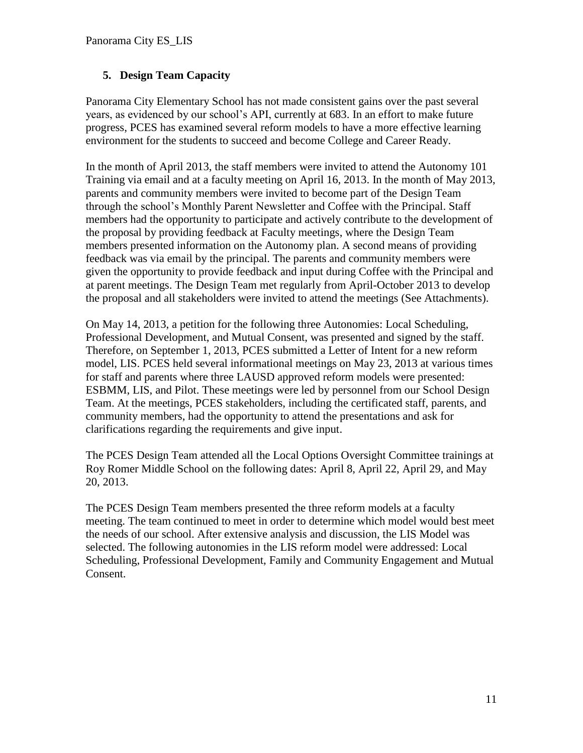#### **5. Design Team Capacity**

Panorama City Elementary School has not made consistent gains over the past several years, as evidenced by our school's API, currently at 683. In an effort to make future progress, PCES has examined several reform models to have a more effective learning environment for the students to succeed and become College and Career Ready.

In the month of April 2013, the staff members were invited to attend the Autonomy 101 Training via email and at a faculty meeting on April 16, 2013. In the month of May 2013, parents and community members were invited to become part of the Design Team through the school's Monthly Parent Newsletter and Coffee with the Principal. Staff members had the opportunity to participate and actively contribute to the development of the proposal by providing feedback at Faculty meetings, where the Design Team members presented information on the Autonomy plan. A second means of providing feedback was via email by the principal. The parents and community members were given the opportunity to provide feedback and input during Coffee with the Principal and at parent meetings. The Design Team met regularly from April-October 2013 to develop the proposal and all stakeholders were invited to attend the meetings (See Attachments).

On May 14, 2013, a petition for the following three Autonomies: Local Scheduling, Professional Development, and Mutual Consent, was presented and signed by the staff. Therefore, on September 1, 2013, PCES submitted a Letter of Intent for a new reform model, LIS. PCES held several informational meetings on May 23, 2013 at various times for staff and parents where three LAUSD approved reform models were presented: ESBMM, LIS, and Pilot. These meetings were led by personnel from our School Design Team. At the meetings, PCES stakeholders, including the certificated staff, parents, and community members, had the opportunity to attend the presentations and ask for clarifications regarding the requirements and give input.

The PCES Design Team attended all the Local Options Oversight Committee trainings at Roy Romer Middle School on the following dates: April 8, April 22, April 29, and May 20, 2013.

The PCES Design Team members presented the three reform models at a faculty meeting. The team continued to meet in order to determine which model would best meet the needs of our school. After extensive analysis and discussion, the LIS Model was selected. The following autonomies in the LIS reform model were addressed: Local Scheduling, Professional Development, Family and Community Engagement and Mutual Consent.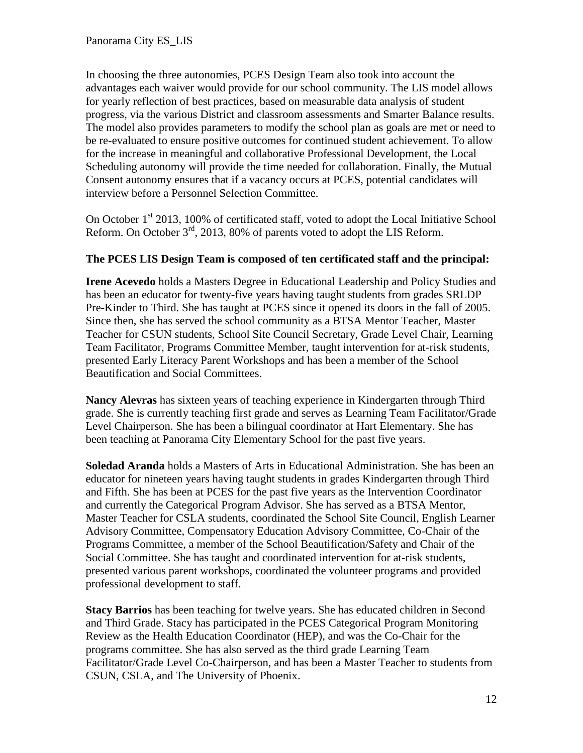In choosing the three autonomies, PCES Design Team also took into account the advantages each waiver would provide for our school community. The LIS model allows for yearly reflection of best practices, based on measurable data analysis of student progress, via the various District and classroom assessments and Smarter Balance results. The model also provides parameters to modify the school plan as goals are met or need to be re-evaluated to ensure positive outcomes for continued student achievement. To allow for the increase in meaningful and collaborative Professional Development, the Local Scheduling autonomy will provide the time needed for collaboration. Finally, the Mutual Consent autonomy ensures that if a vacancy occurs at PCES, potential candidates will interview before a Personnel Selection Committee.

On October  $1<sup>st</sup>$  2013, 100% of certificated staff, voted to adopt the Local Initiative School Reform. On October  $3<sup>rd</sup>$ , 2013, 80% of parents voted to adopt the LIS Reform.

#### **The PCES LIS Design Team is composed of ten certificated staff and the principal:**

**Irene Acevedo** holds a Masters Degree in Educational Leadership and Policy Studies and has been an educator for twenty-five years having taught students from grades SRLDP Pre-Kinder to Third. She has taught at PCES since it opened its doors in the fall of 2005. Since then, she has served the school community as a BTSA Mentor Teacher, Master Teacher for CSUN students, School Site Council Secretary, Grade Level Chair, Learning Team Facilitator, Programs Committee Member, taught intervention for at-risk students, presented Early Literacy Parent Workshops and has been a member of the School Beautification and Social Committees.

**Nancy Alevras** has sixteen years of teaching experience in Kindergarten through Third grade. She is currently teaching first grade and serves as Learning Team Facilitator/Grade Level Chairperson. She has been a bilingual coordinator at Hart Elementary. She has been teaching at Panorama City Elementary School for the past five years.

**Soledad Aranda** holds a Masters of Arts in Educational Administration. She has been an educator for nineteen years having taught students in grades Kindergarten through Third and Fifth. She has been at PCES for the past five years as the Intervention Coordinator and currently the Categorical Program Advisor. She has served as a BTSA Mentor, Master Teacher for CSLA students, coordinated the School Site Council, English Learner Advisory Committee, Compensatory Education Advisory Committee, Co-Chair of the Programs Committee, a member of the School Beautification/Safety and Chair of the Social Committee. She has taught and coordinated intervention for at-risk students, presented various parent workshops, coordinated the volunteer programs and provided professional development to staff.

**Stacy Barrios** has been teaching for twelve years. She has educated children in Second and Third Grade. Stacy has participated in the PCES Categorical Program Monitoring Review as the Health Education Coordinator (HEP), and was the Co-Chair for the programs committee. She has also served as the third grade Learning Team Facilitator/Grade Level Co-Chairperson, and has been a Master Teacher to students from CSUN, CSLA, and The University of Phoenix.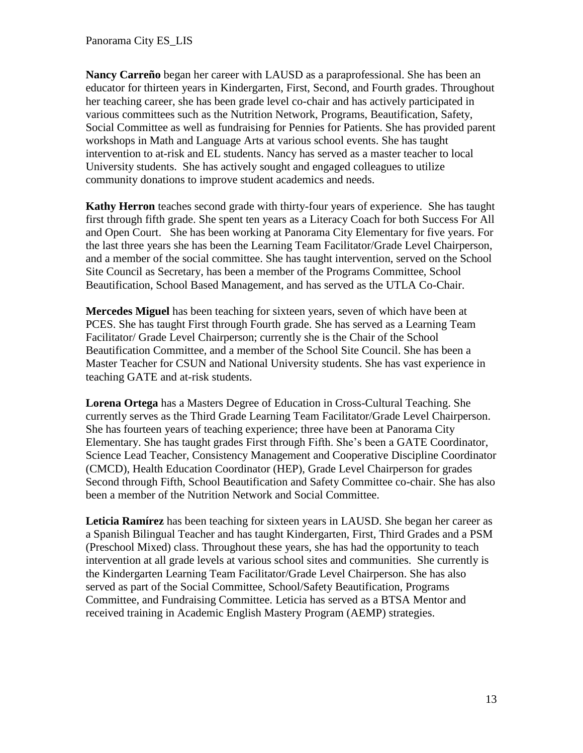**Nancy Carreño** began her career with LAUSD as a paraprofessional. She has been an educator for thirteen years in Kindergarten, First, Second, and Fourth grades. Throughout her teaching career, she has been grade level co-chair and has actively participated in various committees such as the Nutrition Network, Programs, Beautification, Safety, Social Committee as well as fundraising for Pennies for Patients. She has provided parent workshops in Math and Language Arts at various school events. She has taught intervention to at-risk and EL students. Nancy has served as a master teacher to local University students. She has actively sought and engaged colleagues to utilize community donations to improve student academics and needs.

**Kathy Herron** teaches second grade with thirty-four years of experience. She has taught first through fifth grade. She spent ten years as a Literacy Coach for both Success For All and Open Court. She has been working at Panorama City Elementary for five years. For the last three years she has been the Learning Team Facilitator/Grade Level Chairperson, and a member of the social committee. She has taught intervention, served on the School Site Council as Secretary, has been a member of the Programs Committee, School Beautification, School Based Management, and has served as the UTLA Co-Chair.

**Mercedes Miguel** has been teaching for sixteen years, seven of which have been at PCES. She has taught First through Fourth grade. She has served as a Learning Team Facilitator/ Grade Level Chairperson; currently she is the Chair of the School Beautification Committee, and a member of the School Site Council. She has been a Master Teacher for CSUN and National University students. She has vast experience in teaching GATE and at-risk students.

**Lorena Ortega** has a Masters Degree of Education in Cross-Cultural Teaching. She currently serves as the Third Grade Learning Team Facilitator/Grade Level Chairperson. She has fourteen years of teaching experience; three have been at Panorama City Elementary. She has taught grades First through Fifth. She's been a GATE Coordinator, Science Lead Teacher, Consistency Management and Cooperative Discipline Coordinator (CMCD), Health Education Coordinator (HEP), Grade Level Chairperson for grades Second through Fifth, School Beautification and Safety Committee co-chair. She has also been a member of the Nutrition Network and Social Committee.

**Leticia Ramírez** has been teaching for sixteen years in LAUSD. She began her career as a Spanish Bilingual Teacher and has taught Kindergarten, First, Third Grades and a PSM (Preschool Mixed) class. Throughout these years, she has had the opportunity to teach intervention at all grade levels at various school sites and communities. She currently is the Kindergarten Learning Team Facilitator/Grade Level Chairperson. She has also served as part of the Social Committee, School/Safety Beautification, Programs Committee, and Fundraising Committee. Leticia has served as a BTSA Mentor and received training in Academic English Mastery Program (AEMP) strategies.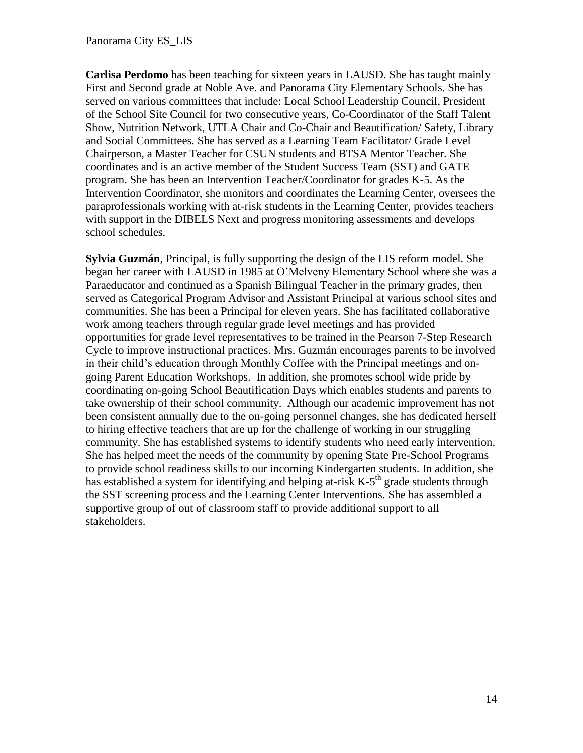**Carlisa Perdomo** has been teaching for sixteen years in LAUSD. She has taught mainly First and Second grade at Noble Ave. and Panorama City Elementary Schools. She has served on various committees that include: Local School Leadership Council, President of the School Site Council for two consecutive years, Co-Coordinator of the Staff Talent Show, Nutrition Network, UTLA Chair and Co-Chair and Beautification/ Safety, Library and Social Committees. She has served as a Learning Team Facilitator/ Grade Level Chairperson, a Master Teacher for CSUN students and BTSA Mentor Teacher. She coordinates and is an active member of the Student Success Team (SST) and GATE program. She has been an Intervention Teacher/Coordinator for grades K-5. As the Intervention Coordinator, she monitors and coordinates the Learning Center, oversees the paraprofessionals working with at-risk students in the Learning Center, provides teachers with support in the DIBELS Next and progress monitoring assessments and develops school schedules.

**Sylvia Guzmán**, Principal, is fully supporting the design of the LIS reform model. She began her career with LAUSD in 1985 at O'Melveny Elementary School where she was a Paraeducator and continued as a Spanish Bilingual Teacher in the primary grades, then served as Categorical Program Advisor and Assistant Principal at various school sites and communities. She has been a Principal for eleven years. She has facilitated collaborative work among teachers through regular grade level meetings and has provided opportunities for grade level representatives to be trained in the Pearson 7-Step Research Cycle to improve instructional practices. Mrs. Guzmán encourages parents to be involved in their child's education through Monthly Coffee with the Principal meetings and ongoing Parent Education Workshops. In addition, she promotes school wide pride by coordinating on-going School Beautification Days which enables students and parents to take ownership of their school community. Although our academic improvement has not been consistent annually due to the on-going personnel changes, she has dedicated herself to hiring effective teachers that are up for the challenge of working in our struggling community. She has established systems to identify students who need early intervention. She has helped meet the needs of the community by opening State Pre-School Programs to provide school readiness skills to our incoming Kindergarten students. In addition, she has established a system for identifying and helping at-risk  $K-5<sup>th</sup>$  grade students through the SST screening process and the Learning Center Interventions. She has assembled a supportive group of out of classroom staff to provide additional support to all stakeholders.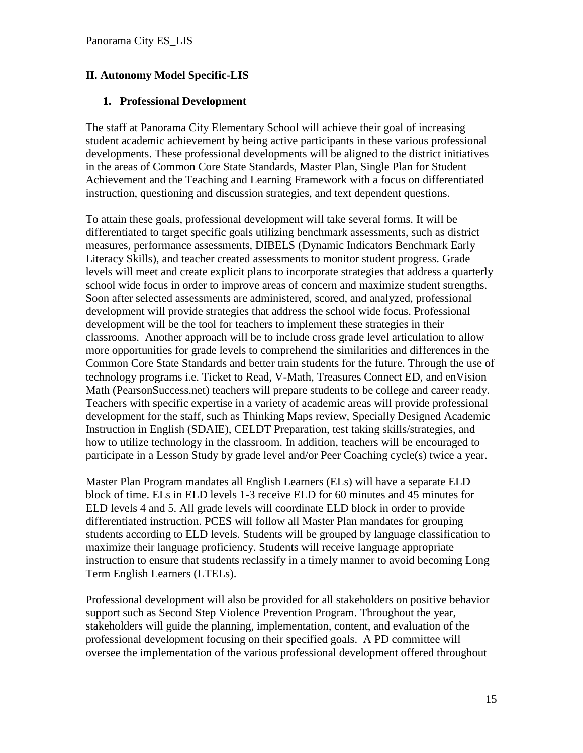#### **II. Autonomy Model Specific-LIS**

#### **1. Professional Development**

The staff at Panorama City Elementary School will achieve their goal of increasing student academic achievement by being active participants in these various professional developments. These professional developments will be aligned to the district initiatives in the areas of Common Core State Standards, Master Plan, Single Plan for Student Achievement and the Teaching and Learning Framework with a focus on differentiated instruction, questioning and discussion strategies, and text dependent questions.

To attain these goals, professional development will take several forms. It will be differentiated to target specific goals utilizing benchmark assessments, such as district measures, performance assessments, DIBELS (Dynamic Indicators Benchmark Early Literacy Skills), and teacher created assessments to monitor student progress. Grade levels will meet and create explicit plans to incorporate strategies that address a quarterly school wide focus in order to improve areas of concern and maximize student strengths. Soon after selected assessments are administered, scored, and analyzed, professional development will provide strategies that address the school wide focus. Professional development will be the tool for teachers to implement these strategies in their classrooms. Another approach will be to include cross grade level articulation to allow more opportunities for grade levels to comprehend the similarities and differences in the Common Core State Standards and better train students for the future. Through the use of technology programs i.e. Ticket to Read, V-Math, Treasures Connect ED, and enVision Math (PearsonSuccess.net) teachers will prepare students to be college and career ready. Teachers with specific expertise in a variety of academic areas will provide professional development for the staff, such as Thinking Maps review, Specially Designed Academic Instruction in English (SDAIE), CELDT Preparation, test taking skills/strategies, and how to utilize technology in the classroom. In addition, teachers will be encouraged to participate in a Lesson Study by grade level and/or Peer Coaching cycle(s) twice a year.

Master Plan Program mandates all English Learners (ELs) will have a separate ELD block of time. ELs in ELD levels 1-3 receive ELD for 60 minutes and 45 minutes for ELD levels 4 and 5. All grade levels will coordinate ELD block in order to provide differentiated instruction. PCES will follow all Master Plan mandates for grouping students according to ELD levels. Students will be grouped by language classification to maximize their language proficiency. Students will receive language appropriate instruction to ensure that students reclassify in a timely manner to avoid becoming Long Term English Learners (LTELs).

Professional development will also be provided for all stakeholders on positive behavior support such as Second Step Violence Prevention Program. Throughout the year, stakeholders will guide the planning, implementation, content, and evaluation of the professional development focusing on their specified goals. A PD committee will oversee the implementation of the various professional development offered throughout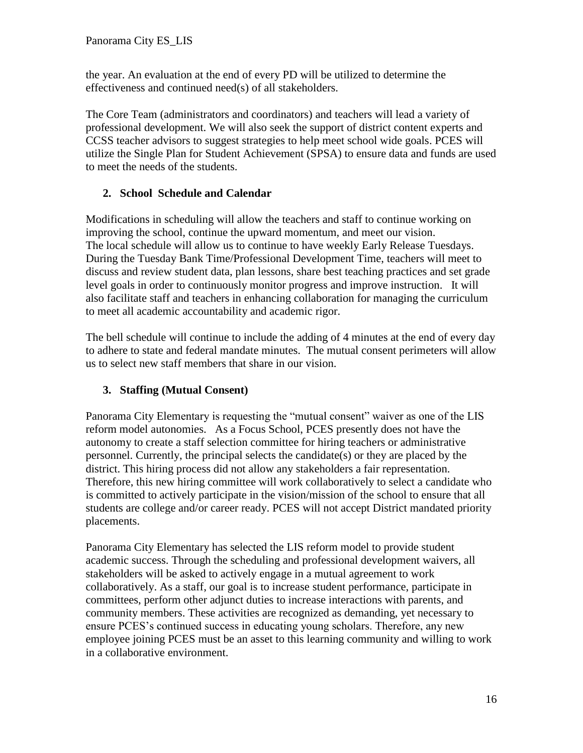the year. An evaluation at the end of every PD will be utilized to determine the effectiveness and continued need(s) of all stakeholders.

The Core Team (administrators and coordinators) and teachers will lead a variety of professional development. We will also seek the support of district content experts and CCSS teacher advisors to suggest strategies to help meet school wide goals. PCES will utilize the Single Plan for Student Achievement (SPSA) to ensure data and funds are used to meet the needs of the students.

#### **2. School Schedule and Calendar**

Modifications in scheduling will allow the teachers and staff to continue working on improving the school, continue the upward momentum, and meet our vision. The local schedule will allow us to continue to have weekly Early Release Tuesdays. During the Tuesday Bank Time/Professional Development Time, teachers will meet to discuss and review student data, plan lessons, share best teaching practices and set grade level goals in order to continuously monitor progress and improve instruction. It will also facilitate staff and teachers in enhancing collaboration for managing the curriculum to meet all academic accountability and academic rigor.

The bell schedule will continue to include the adding of 4 minutes at the end of every day to adhere to state and federal mandate minutes. The mutual consent perimeters will allow us to select new staff members that share in our vision.

# **3. Staffing (Mutual Consent)**

Panorama City Elementary is requesting the "mutual consent" waiver as one of the LIS reform model autonomies. As a Focus School, PCES presently does not have the autonomy to create a staff selection committee for hiring teachers or administrative personnel. Currently, the principal selects the candidate(s) or they are placed by the district. This hiring process did not allow any stakeholders a fair representation. Therefore, this new hiring committee will work collaboratively to select a candidate who is committed to actively participate in the vision/mission of the school to ensure that all students are college and/or career ready. PCES will not accept District mandated priority placements.

Panorama City Elementary has selected the LIS reform model to provide student academic success. Through the scheduling and professional development waivers, all stakeholders will be asked to actively engage in a mutual agreement to work collaboratively. As a staff, our goal is to increase student performance, participate in committees, perform other adjunct duties to increase interactions with parents, and community members. These activities are recognized as demanding, yet necessary to ensure PCES's continued success in educating young scholars. Therefore, any new employee joining PCES must be an asset to this learning community and willing to work in a collaborative environment.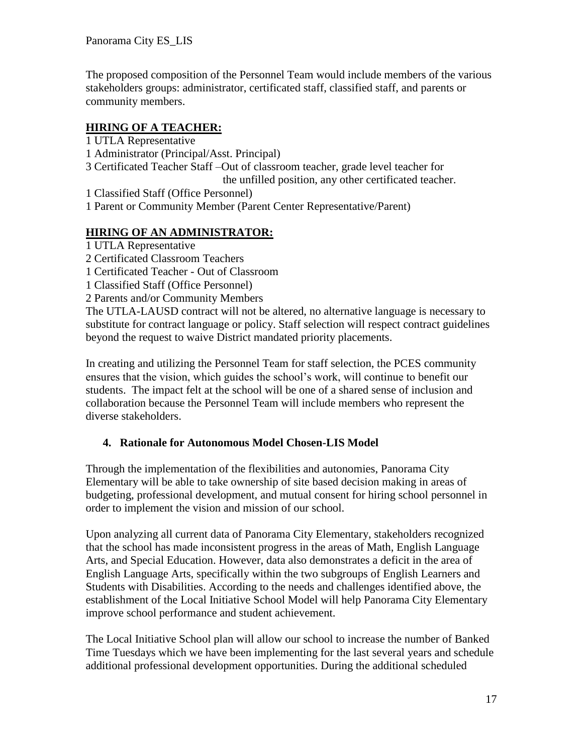The proposed composition of the Personnel Team would include members of the various stakeholders groups: administrator, certificated staff, classified staff, and parents or community members.

# **HIRING OF A TEACHER:**

1 UTLA Representative 1 Administrator (Principal/Asst. Principal) 3 Certificated Teacher Staff –Out of classroom teacher, grade level teacher for the unfilled position, any other certificated teacher. 1 Classified Staff (Office Personnel) 1 Parent or Community Member (Parent Center Representative/Parent)

# **HIRING OF AN ADMINISTRATOR:**

1 UTLA Representative 2 Certificated Classroom Teachers 1 Certificated Teacher - Out of Classroom 1 Classified Staff (Office Personnel) 2 Parents and/or Community Members

The UTLA-LAUSD contract will not be altered, no alternative language is necessary to substitute for contract language or policy. Staff selection will respect contract guidelines beyond the request to waive District mandated priority placements.

In creating and utilizing the Personnel Team for staff selection, the PCES community ensures that the vision, which guides the school's work, will continue to benefit our students. The impact felt at the school will be one of a shared sense of inclusion and collaboration because the Personnel Team will include members who represent the diverse stakeholders.

# **4. Rationale for Autonomous Model Chosen-LIS Model**

Through the implementation of the flexibilities and autonomies, Panorama City Elementary will be able to take ownership of site based decision making in areas of budgeting, professional development, and mutual consent for hiring school personnel in order to implement the vision and mission of our school.

Upon analyzing all current data of Panorama City Elementary, stakeholders recognized that the school has made inconsistent progress in the areas of Math, English Language Arts, and Special Education. However, data also demonstrates a deficit in the area of English Language Arts, specifically within the two subgroups of English Learners and Students with Disabilities. According to the needs and challenges identified above, the establishment of the Local Initiative School Model will help Panorama City Elementary improve school performance and student achievement.

The Local Initiative School plan will allow our school to increase the number of Banked Time Tuesdays which we have been implementing for the last several years and schedule additional professional development opportunities. During the additional scheduled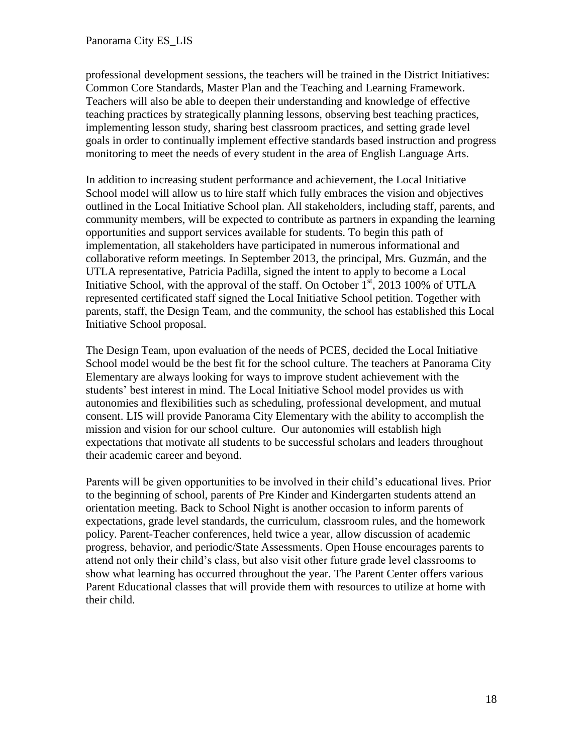professional development sessions, the teachers will be trained in the District Initiatives: Common Core Standards, Master Plan and the Teaching and Learning Framework. Teachers will also be able to deepen their understanding and knowledge of effective teaching practices by strategically planning lessons, observing best teaching practices, implementing lesson study, sharing best classroom practices, and setting grade level goals in order to continually implement effective standards based instruction and progress monitoring to meet the needs of every student in the area of English Language Arts.

In addition to increasing student performance and achievement, the Local Initiative School model will allow us to hire staff which fully embraces the vision and objectives outlined in the Local Initiative School plan. All stakeholders, including staff, parents, and community members, will be expected to contribute as partners in expanding the learning opportunities and support services available for students. To begin this path of implementation, all stakeholders have participated in numerous informational and collaborative reform meetings. In September 2013, the principal, Mrs. Guzmán, and the UTLA representative, Patricia Padilla, signed the intent to apply to become a Local Initiative School, with the approval of the staff. On October  $1<sup>st</sup>$ , 2013 100% of UTLA represented certificated staff signed the Local Initiative School petition. Together with parents, staff, the Design Team, and the community, the school has established this Local Initiative School proposal.

The Design Team, upon evaluation of the needs of PCES, decided the Local Initiative School model would be the best fit for the school culture. The teachers at Panorama City Elementary are always looking for ways to improve student achievement with the students' best interest in mind. The Local Initiative School model provides us with autonomies and flexibilities such as scheduling, professional development, and mutual consent. LIS will provide Panorama City Elementary with the ability to accomplish the mission and vision for our school culture. Our autonomies will establish high expectations that motivate all students to be successful scholars and leaders throughout their academic career and beyond.

Parents will be given opportunities to be involved in their child's educational lives. Prior to the beginning of school, parents of Pre Kinder and Kindergarten students attend an orientation meeting. Back to School Night is another occasion to inform parents of expectations, grade level standards, the curriculum, classroom rules, and the homework policy. Parent-Teacher conferences, held twice a year, allow discussion of academic progress, behavior, and periodic/State Assessments. Open House encourages parents to attend not only their child's class, but also visit other future grade level classrooms to show what learning has occurred throughout the year. The Parent Center offers various Parent Educational classes that will provide them with resources to utilize at home with their child.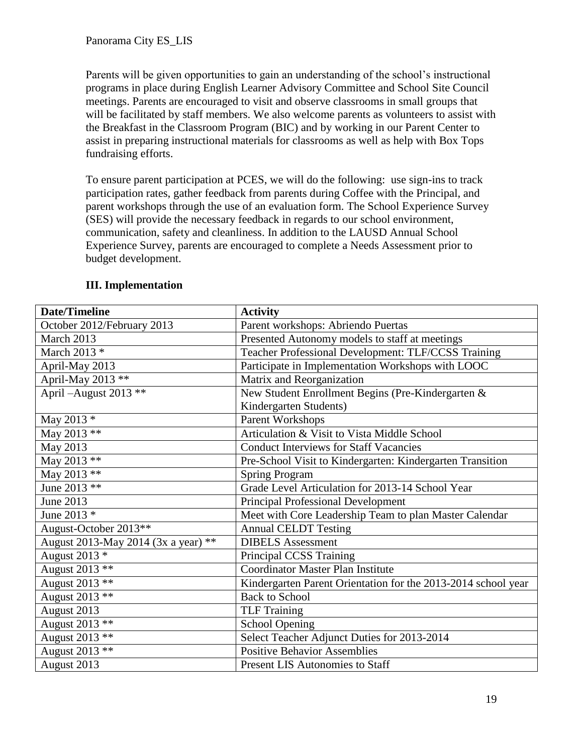Parents will be given opportunities to gain an understanding of the school's instructional programs in place during English Learner Advisory Committee and School Site Council meetings. Parents are encouraged to visit and observe classrooms in small groups that will be facilitated by staff members. We also welcome parents as volunteers to assist with the Breakfast in the Classroom Program (BIC) and by working in our Parent Center to assist in preparing instructional materials for classrooms as well as help with Box Tops fundraising efforts.

To ensure parent participation at PCES, we will do the following: use sign-ins to track participation rates, gather feedback from parents during Coffee with the Principal, and parent workshops through the use of an evaluation form. The School Experience Survey (SES) will provide the necessary feedback in regards to our school environment, communication, safety and cleanliness. In addition to the LAUSD Annual School Experience Survey, parents are encouraged to complete a Needs Assessment prior to budget development.

| <b>Date/Timeline</b>                | <b>Activity</b>                                               |
|-------------------------------------|---------------------------------------------------------------|
| October 2012/February 2013          | Parent workshops: Abriendo Puertas                            |
| March 2013                          | Presented Autonomy models to staff at meetings                |
| March 2013 $*$                      | Teacher Professional Development: TLF/CCSS Training           |
| April-May 2013                      | Participate in Implementation Workshops with LOOC             |
| April-May 2013 **                   | Matrix and Reorganization                                     |
| April $-August$ 2013 **             | New Student Enrollment Begins (Pre-Kindergarten &             |
|                                     | Kindergarten Students)                                        |
| May 2013 $*$                        | Parent Workshops                                              |
| May 2013 **                         | Articulation & Visit to Vista Middle School                   |
| May 2013                            | <b>Conduct Interviews for Staff Vacancies</b>                 |
| May 2013 **                         | Pre-School Visit to Kindergarten: Kindergarten Transition     |
| May 2013 **                         | <b>Spring Program</b>                                         |
| June 2013 **                        | Grade Level Articulation for 2013-14 School Year              |
| June 2013                           | <b>Principal Professional Development</b>                     |
| June 2013 *                         | Meet with Core Leadership Team to plan Master Calendar        |
| August-October 2013**               | <b>Annual CELDT Testing</b>                                   |
| August 2013-May 2014 (3x a year) ** | <b>DIBELS</b> Assessment                                      |
| August 2013 *                       | Principal CCSS Training                                       |
| August 2013 **                      | <b>Coordinator Master Plan Institute</b>                      |
| August 2013 **                      | Kindergarten Parent Orientation for the 2013-2014 school year |
| August 2013 **                      | <b>Back to School</b>                                         |
| August 2013                         | <b>TLF Training</b>                                           |
| August 2013 **                      | <b>School Opening</b>                                         |
| August 2013 **                      | Select Teacher Adjunct Duties for 2013-2014                   |
| August 2013 **                      | <b>Positive Behavior Assemblies</b>                           |
| August 2013                         | <b>Present LIS Autonomies to Staff</b>                        |

#### **III. Implementation**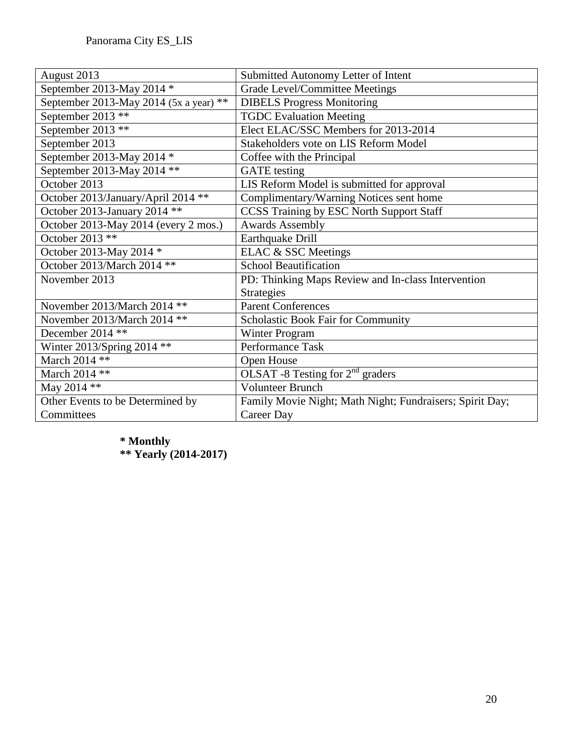| August 2013                            | Submitted Autonomy Letter of Intent                      |
|----------------------------------------|----------------------------------------------------------|
| September 2013-May 2014 *              | Grade Level/Committee Meetings                           |
| September 2013-May 2014 (5x a year) ** | <b>DIBELS Progress Monitoring</b>                        |
| September 2013 **                      | <b>TGDC Evaluation Meeting</b>                           |
| September 2013 **                      | Elect ELAC/SSC Members for 2013-2014                     |
| September 2013                         | Stakeholders vote on LIS Reform Model                    |
| September 2013-May 2014 *              | Coffee with the Principal                                |
| September 2013-May 2014 **             | <b>GATE</b> testing                                      |
| October 2013                           | LIS Reform Model is submitted for approval               |
| October 2013/January/April 2014 **     | Complimentary/Warning Notices sent home                  |
| October 2013-January 2014 **           | <b>CCSS Training by ESC North Support Staff</b>          |
| October 2013-May 2014 (every 2 mos.)   | <b>Awards Assembly</b>                                   |
| October 2013 **                        | Earthquake Drill                                         |
| October 2013-May 2014 *                | ELAC & SSC Meetings                                      |
| October 2013/March 2014 **             | <b>School Beautification</b>                             |
| November 2013                          | PD: Thinking Maps Review and In-class Intervention       |
|                                        | <b>Strategies</b>                                        |
| November 2013/March 2014 **            | <b>Parent Conferences</b>                                |
| November 2013/March 2014 **            | Scholastic Book Fair for Community                       |
| December 2014 **                       | <b>Winter Program</b>                                    |
| Winter 2013/Spring 2014 **             | Performance Task                                         |
| March 2014 **                          | Open House                                               |
| March 2014 **                          | OLSAT -8 Testing for $2nd$ graders                       |
| May 2014 **                            | <b>Volunteer Brunch</b>                                  |
| Other Events to be Determined by       | Family Movie Night; Math Night; Fundraisers; Spirit Day; |
| Committees                             | Career Day                                               |

**\* Monthly \*\* Yearly (2014-2017)**